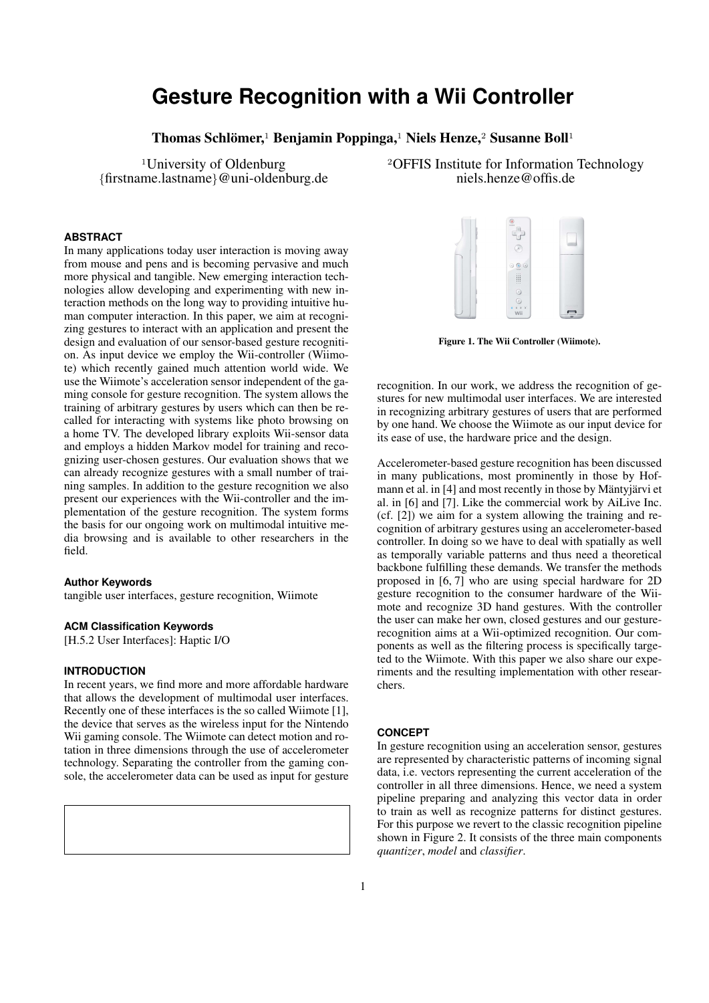# **Gesture Recognition with a Wii Controller**

Thomas Schlömer,<sup>1</sup> Benjamin Poppinga,<sup>1</sup> Niels Henze,<sup>2</sup> Susanne Boll<sup>1</sup>

 ${first name.}$ lastname $@$ uni-oldenburg.de

# **ABSTRACT**

In many applications today user interaction is moving away from mouse and pens and is becoming pervasive and much more physical and tangible. New emerging interaction technologies allow developing and experimenting with new interaction methods on the long way to providing intuitive human computer interaction. In this paper, we aim at recognizing gestures to interact with an application and present the design and evaluation of our sensor-based gesture recognition. As input device we employ the Wii-controller (Wiimote) which recently gained much attention world wide. We use the Wiimote's acceleration sensor independent of the gaming console for gesture recognition. The system allows the training of arbitrary gestures by users which can then be recalled for interacting with systems like photo browsing on a home TV. The developed library exploits Wii-sensor data and employs a hidden Markov model for training and recognizing user-chosen gestures. Our evaluation shows that we can already recognize gestures with a small number of training samples. In addition to the gesture recognition we also present our experiences with the Wii-controller and the implementation of the gesture recognition. The system forms the basis for our ongoing work on multimodal intuitive media browsing and is available to other researchers in the field.

## **Author Keywords**

tangible user interfaces, gesture recognition, Wiimote

## **ACM Classification Keywords**

[H.5.2 User Interfaces]: Haptic I/O

# **INTRODUCTION**

In recent years, we find more and more affordable hardware that allows the development of multimodal user interfaces. Recently one of these interfaces is the so called Wiimote [1], the device that serves as the wireless input for the Nintendo Wii gaming console. The Wiimote can detect motion and rotation in three dimensions through the use of accelerometer technology. Separating the controller from the gaming console, the accelerometer data can be used as input for gesture



<sup>1</sup>University of Oldenburg  $^{2}$ OFFIS Institute for Information Technology<br>me.lastname}@uni-oldenburg.de hels.henze@offis.de



Figure 1. The Wii Controller (Wiimote).

recognition. In our work, we address the recognition of gestures for new multimodal user interfaces. We are interested in recognizing arbitrary gestures of users that are performed by one hand. We choose the Wiimote as our input device for its ease of use, the hardware price and the design.

Accelerometer-based gesture recognition has been discussed in many publications, most prominently in those by Hofmann et al. in [4] and most recently in those by Mäntyjärvi et al. in [6] and [7]. Like the commercial work by AiLive Inc. (cf. [2]) we aim for a system allowing the training and recognition of arbitrary gestures using an accelerometer-based controller. In doing so we have to deal with spatially as well as temporally variable patterns and thus need a theoretical backbone fulfilling these demands. We transfer the methods proposed in [6, 7] who are using special hardware for 2D gesture recognition to the consumer hardware of the Wiimote and recognize 3D hand gestures. With the controller the user can make her own, closed gestures and our gesturerecognition aims at a Wii-optimized recognition. Our components as well as the filtering process is specifically targeted to the Wiimote. With this paper we also share our experiments and the resulting implementation with other researchers.

## **CONCEPT**

In gesture recognition using an acceleration sensor, gestures are represented by characteristic patterns of incoming signal data, i.e. vectors representing the current acceleration of the controller in all three dimensions. Hence, we need a system pipeline preparing and analyzing this vector data in order to train as well as recognize patterns for distinct gestures. For this purpose we revert to the classic recognition pipeline shown in Figure 2. It consists of the three main components *quantizer*, *model* and *classifier*.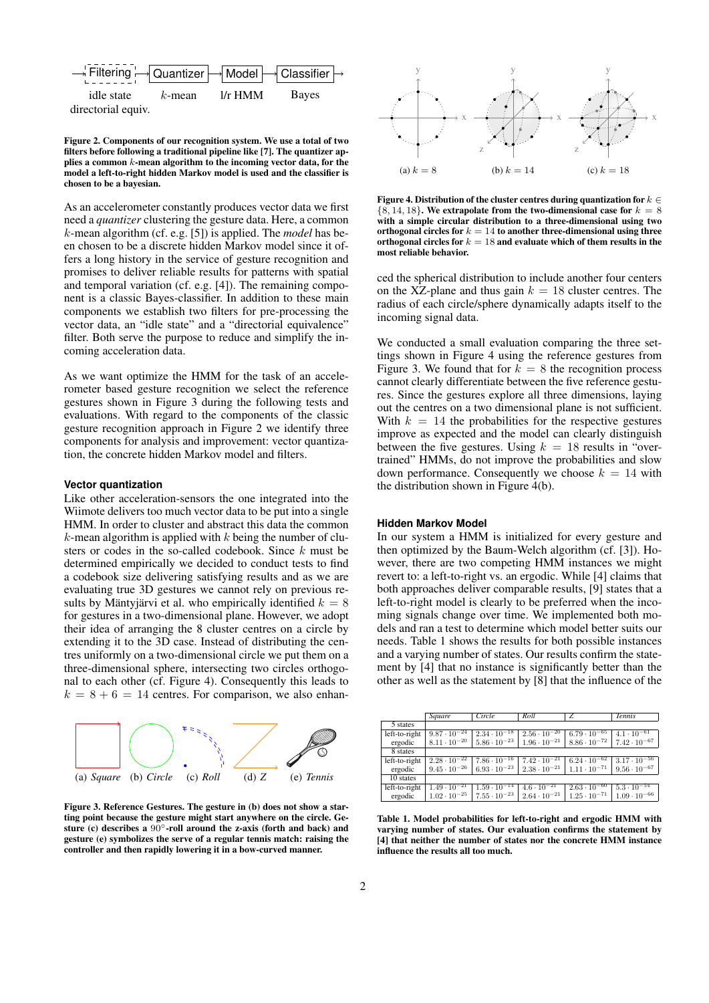

Figure 2. Components of our recognition system. We use a total of two filters before following a traditional pipeline like [7]. The quantizer applies a common k-mean algorithm to the incoming vector data, for the model a left-to-right hidden Markov model is used and the classifier is chosen to be a bayesian.

As an accelerometer constantly produces vector data we first need a *quantizer* clustering the gesture data. Here, a common k-mean algorithm (cf. e.g. [5]) is applied. The *model* has been chosen to be a discrete hidden Markov model since it offers a long history in the service of gesture recognition and promises to deliver reliable results for patterns with spatial and temporal variation (cf. e.g. [4]). The remaining component is a classic Bayes-classifier. In addition to these main components we establish two filters for pre-processing the vector data, an "idle state" and a "directorial equivalence" filter. Both serve the purpose to reduce and simplify the incoming acceleration data.

As we want optimize the HMM for the task of an accelerometer based gesture recognition we select the reference gestures shown in Figure 3 during the following tests and evaluations. With regard to the components of the classic gesture recognition approach in Figure 2 we identify three components for analysis and improvement: vector quantization, the concrete hidden Markov model and filters.

#### **Vector quantization**

Like other acceleration-sensors the one integrated into the Wiimote delivers too much vector data to be put into a single HMM. In order to cluster and abstract this data the common  $k$ -mean algorithm is applied with  $k$  being the number of clusters or codes in the so-called codebook. Since k must be determined empirically we decided to conduct tests to find a codebook size delivering satisfying results and as we are evaluating true 3D gestures we cannot rely on previous results by Mäntyjärvi et al. who empirically identified  $k = 8$ for gestures in a two-dimensional plane. However, we adopt their idea of arranging the 8 cluster centres on a circle by extending it to the 3D case. Instead of distributing the centres uniformly on a two-dimensional circle we put them on a three-dimensional sphere, intersecting two circles orthogonal to each other (cf. Figure 4). Consequently this leads to  $k = 8 + 6 = 14$  centres. For comparison, we also enhan-



Figure 3. Reference Gestures. The gesture in (b) does not show a starting point because the gesture might start anywhere on the circle. Gesture (c) describes a  $90^\circ$ -roll around the z-axis (forth and back) and gesture (e) symbolizes the serve of a regular tennis match: raising the controller and then rapidly lowering it in a bow-curved manner.



Figure 4. Distribution of the cluster centres during quantization for  $k \in$  ${8, 14, 18}$ . We extrapolate from the two-dimensional case for  $k = 8$ with a simple circular distribution to a three-dimensional using two orthogonal circles for  $k = 14$  to another three-dimensional using three orthogonal circles for  $k = 18$  and evaluate which of them results in the most reliable behavior.

ced the spherical distribution to include another four centers on the XZ-plane and thus gain  $k = 18$  cluster centres. The radius of each circle/sphere dynamically adapts itself to the incoming signal data.

We conducted a small evaluation comparing the three settings shown in Figure 4 using the reference gestures from Figure 3. We found that for  $\overline{k} = 8$  the recognition process cannot clearly differentiate between the five reference gestures. Since the gestures explore all three dimensions, laying out the centres on a two dimensional plane is not sufficient. With  $k = 14$  the probabilities for the respective gestures improve as expected and the model can clearly distinguish between the five gestures. Using  $k = 18$  results in "overtrained" HMMs, do not improve the probabilities and slow down performance. Consequently we choose  $k = 14$  with the distribution shown in Figure 4(b).

#### **Hidden Markov Model**

In our system a HMM is initialized for every gesture and then optimized by the Baum-Welch algorithm (cf. [3]). However, there are two competing HMM instances we might revert to: a left-to-right vs. an ergodic. While [4] claims that both approaches deliver comparable results, [9] states that a left-to-right model is clearly to be preferred when the incoming signals change over time. We implemented both models and ran a test to determine which model better suits our needs. Table 1 shows the results for both possible instances and a varying number of states. Our results confirm the statement by [4] that no instance is significantly better than the other as well as the statement by [8] that the influence of the

|               | Square                | Circle                | Roll                  | Z                     | <b>Tennis</b>         |
|---------------|-----------------------|-----------------------|-----------------------|-----------------------|-----------------------|
| 5 states      |                       |                       |                       |                       |                       |
| left-to-right | $9.87 \cdot 10^{-24}$ | $2.34 \cdot 10^{-18}$ | $2.56 \cdot 10^{-20}$ | $6.79 \cdot 10^{-65}$ | $4.1 \cdot 10^{-61}$  |
| ergodic       | $8.11 \cdot 10^{-20}$ | $5.86 \cdot 10^{-23}$ | $1.96 \cdot 10^{-21}$ | $8.86 \cdot 10^{-72}$ | $7.42 \cdot 10^{-67}$ |
| 8 states      |                       |                       |                       |                       |                       |
| left-to-right | $2.28 \cdot 10^{-22}$ | $7.86 \cdot 10^{-16}$ | $7.42 \cdot 10^{-21}$ | $6.24 \cdot 10^{-62}$ | $3.17 \cdot 10^{-56}$ |
| ergodic       | $9.45 \cdot 10^{-26}$ | $6.93 \cdot 10^{-23}$ | $2.38 \cdot 10^{-21}$ | $1.11 \cdot 10^{-71}$ | $9.56 \cdot 10^{-67}$ |
| 10 states     |                       |                       |                       |                       |                       |
| left-to-right | $1.49 \cdot 10^{-21}$ | $1.59 \cdot 10^{-14}$ | $4.6 \cdot 10^{-21}$  | $2.63 \cdot 10^{-60}$ | $5.3 \cdot 10^{-54}$  |
| ergodic       | $1.02 \cdot 10^{-25}$ | $7.55 \cdot 10^{-23}$ | $2.64 \cdot 10^{-21}$ | $1.25 \cdot 10^{-71}$ | $1.09 \cdot 10^{-66}$ |

Table 1. Model probabilities for left-to-right and ergodic HMM with varying number of states. Our evaluation confirms the statement by [4] that neither the number of states nor the concrete HMM instance influence the results all too much.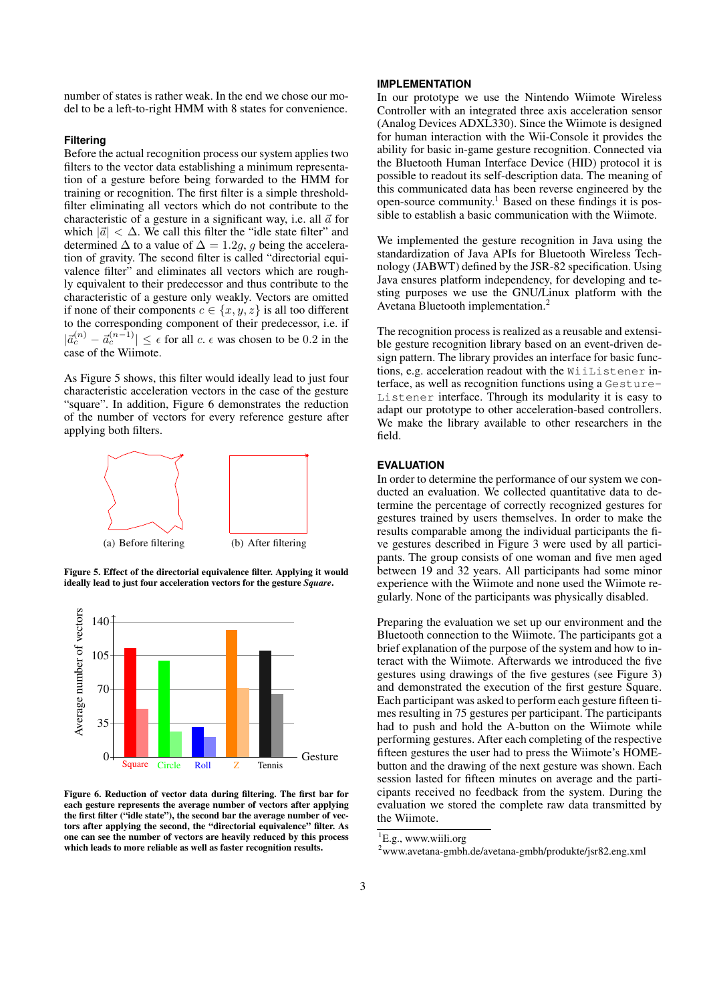number of states is rather weak. In the end we chose our model to be a left-to-right HMM with 8 states for convenience.

# **Filtering**

Before the actual recognition process our system applies two filters to the vector data establishing a minimum representation of a gesture before being forwarded to the HMM for training or recognition. The first filter is a simple thresholdfilter eliminating all vectors which do not contribute to the characteristic of a gesture in a significant way, i.e. all  $\vec{a}$  for which  $|\vec{a}| < \Delta$ . We call this filter the "idle state filter" and determined  $\Delta$  to a value of  $\Delta = 1.2g$ , g being the acceleration of gravity. The second filter is called "directorial equivalence filter" and eliminates all vectors which are roughly equivalent to their predecessor and thus contribute to the characteristic of a gesture only weakly. Vectors are omitted if none of their components  $c \in \{x, y, z\}$  is all too different to the corresponding component of their predecessor, i.e. if  $|\vec{a}_c^{(n)} - \vec{a}_c^{(n-1)}| \leq \epsilon$  for all c.  $\epsilon$  was chosen to be 0.2 in the case of the Wiimote.

As Figure 5 shows, this filter would ideally lead to just four characteristic acceleration vectors in the case of the gesture "square". In addition, Figure 6 demonstrates the reduction of the number of vectors for every reference gesture after applying both filters.



Figure 5. Effect of the directorial equivalence filter. Applying it would ideally lead to just four acceleration vectors for the gesture *Square*.



Figure 6. Reduction of vector data during filtering. The first bar for each gesture represents the average number of vectors after applying the first filter ("idle state"), the second bar the average number of vectors after applying the second, the "directorial equivalence" filter. As one can see the number of vectors are heavily reduced by this process which leads to more reliable as well as faster recognition results.

### **IMPLEMENTATION**

In our prototype we use the Nintendo Wiimote Wireless Controller with an integrated three axis acceleration sensor (Analog Devices ADXL330). Since the Wiimote is designed for human interaction with the Wii-Console it provides the ability for basic in-game gesture recognition. Connected via the Bluetooth Human Interface Device (HID) protocol it is possible to readout its self-description data. The meaning of this communicated data has been reverse engineered by the open-source community.<sup>1</sup> Based on these findings it is possible to establish a basic communication with the Wiimote.

We implemented the gesture recognition in Java using the standardization of Java APIs for Bluetooth Wireless Technology (JABWT) defined by the JSR-82 specification. Using Java ensures platform independency, for developing and testing purposes we use the GNU/Linux platform with the Avetana Bluetooth implementation.<sup>2</sup>

The recognition process is realized as a reusable and extensible gesture recognition library based on an event-driven design pattern. The library provides an interface for basic functions, e.g. acceleration readout with the WiiListener interface, as well as recognition functions using a Gesture-Listener interface. Through its modularity it is easy to adapt our prototype to other acceleration-based controllers. We make the library available to other researchers in the field.

# **EVALUATION**

In order to determine the performance of our system we conducted an evaluation. We collected quantitative data to determine the percentage of correctly recognized gestures for gestures trained by users themselves. In order to make the results comparable among the individual participants the five gestures described in Figure 3 were used by all participants. The group consists of one woman and five men aged between 19 and 32 years. All participants had some minor experience with the Wiimote and none used the Wiimote regularly. None of the participants was physically disabled.

Preparing the evaluation we set up our environment and the Bluetooth connection to the Wiimote. The participants got a brief explanation of the purpose of the system and how to interact with the Wiimote. Afterwards we introduced the five gestures using drawings of the five gestures (see Figure 3) and demonstrated the execution of the first gesture Square. Each participant was asked to perform each gesture fifteen times resulting in 75 gestures per participant. The participants had to push and hold the A-button on the Wiimote while performing gestures. After each completing of the respective fifteen gestures the user had to press the Wiimote's HOMEbutton and the drawing of the next gesture was shown. Each session lasted for fifteen minutes on average and the participants received no feedback from the system. During the evaluation we stored the complete raw data transmitted by the Wiimote.

<sup>&</sup>lt;sup>1</sup>E.g., www.wiili.org

<sup>2</sup>www.avetana-gmbh.de/avetana-gmbh/produkte/jsr82.eng.xml